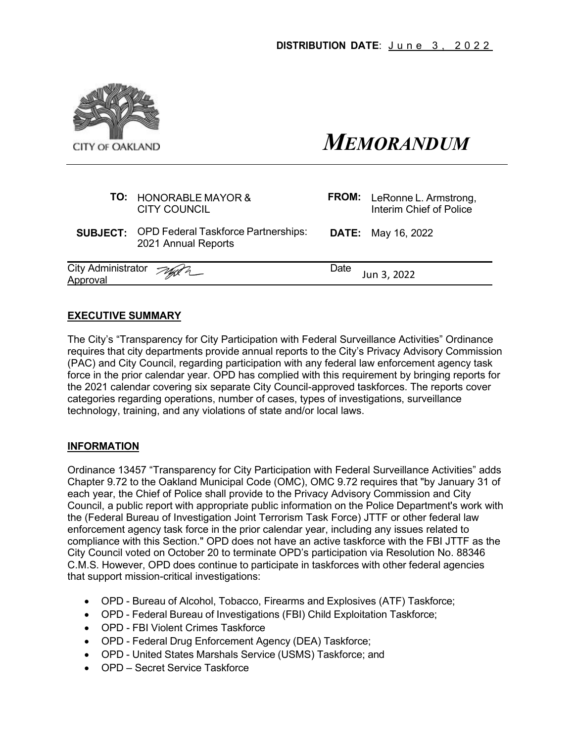

# *MEMORANDUM*

| <b>FROM:</b> LeRonne L. Armstrong,<br>Interim Chief of Police |
|---------------------------------------------------------------|
| <b>DATE:</b> May 16, 2022                                     |
| Date<br>Jun 3, 2022                                           |
|                                                               |

#### **EXECUTIVE SUMMARY**

The City's "Transparency for City Participation with Federal Surveillance Activities" Ordinance requires that city departments provide annual reports to the City's Privacy Advisory Commission (PAC) and City Council, regarding participation with any federal law enforcement agency task force in the prior calendar year. OPD has complied with this requirement by bringing reports for the 2021 calendar covering six separate City Council-approved taskforces. The reports cover categories regarding operations, number of cases, types of investigations, surveillance technology, training, and any violations of state and/or local laws.

#### **INFORMATION**

Ordinance 13457 "Transparency for City Participation with Federal Surveillance Activities" adds Chapter 9.72 to the Oakland Municipal Code (OMC), OMC 9.72 requires that "by January 31 of each year, the Chief of Police shall provide to the Privacy Advisory Commission and City Council, a public report with appropriate public information on the Police Department's work with the (Federal Bureau of Investigation Joint Terrorism Task Force) JTTF or other federal law enforcement agency task force in the prior calendar year, including any issues related to compliance with this Section." OPD does not have an active taskforce with the FBI JTTF as the City Council voted on October 20 to terminate OPD's participation via Resolution No. 88346 C.M.S. However, OPD does continue to participate in taskforces with other federal agencies that support mission-critical investigations:

- OPD Bureau of Alcohol, Tobacco, Firearms and Explosives (ATF) Taskforce;
- OPD Federal Bureau of Investigations (FBI) Child Exploitation Taskforce;
- OPD FBI Violent Crimes Taskforce
- OPD Federal Drug Enforcement Agency (DEA) Taskforce;
- OPD United States Marshals Service (USMS) Taskforce; and
- OPD Secret Service Taskforce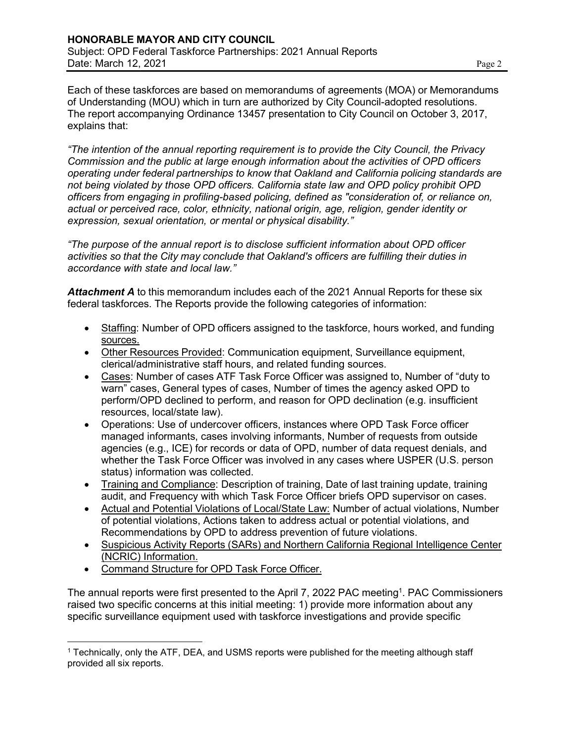Each of these taskforces are based on memorandums of agreements (MOA) or Memorandums of Understanding (MOU) which in turn are authorized by City Council-adopted resolutions. The report accompanying Ordinance 13457 presentation to City Council on October 3, 2017, explains that:

*"The intention of the annual reporting requirement is to provide the City Council, the Privacy Commission and the public at large enough information about the activities of OPD officers operating under federal partnerships to know that Oakland and California policing standards are not being violated by those OPD officers. California state law and OPD policy prohibit OPD officers from engaging in profiling-based policing, defined as "consideration of, or reliance on, actual or perceived race, color, ethnicity, national origin, age, religion, gender identity or expression, sexual orientation, or mental or physical disability."*

*"The purpose of the annual report is to disclose sufficient information about OPD officer activities so that the City may conclude that Oakland's officers are fulfilling their duties in accordance with state and local law."*

*Attachment A* to this memorandum includes each of the 2021 Annual Reports for these six federal taskforces. The Reports provide the following categories of information:

- Staffing: Number of OPD officers assigned to the taskforce, hours worked, and funding sources.
- Other Resources Provided: Communication equipment, Surveillance equipment, clerical/administrative staff hours, and related funding sources.
- Cases: Number of cases ATF Task Force Officer was assigned to, Number of "duty to warn" cases, General types of cases, Number of times the agency asked OPD to perform/OPD declined to perform, and reason for OPD declination (e.g. insufficient resources, local/state law).
- Operations: Use of undercover officers, instances where OPD Task Force officer managed informants, cases involving informants, Number of requests from outside agencies (e.g., ICE) for records or data of OPD, number of data request denials, and whether the Task Force Officer was involved in any cases where USPER (U.S. person status) information was collected.
- Training and Compliance: Description of training, Date of last training update, training audit, and Frequency with which Task Force Officer briefs OPD supervisor on cases.
- Actual and Potential Violations of Local/State Law: Number of actual violations, Number of potential violations, Actions taken to address actual or potential violations, and Recommendations by OPD to address prevention of future violations.
- Suspicious Activity Reports (SARs) and Northern California Regional Intelligence Center (NCRIC) Information.
- Command Structure for OPD Task Force Officer.

The annual reports were first presented to the April 7, 2022 PAC meeting<sup>1</sup>. PAC Commissioners raised two specific concerns at this initial meeting: 1) provide more information about any specific surveillance equipment used with taskforce investigations and provide specific

<sup>1</sup> Technically, only the ATF, DEA, and USMS reports were published for the meeting although staff provided all six reports.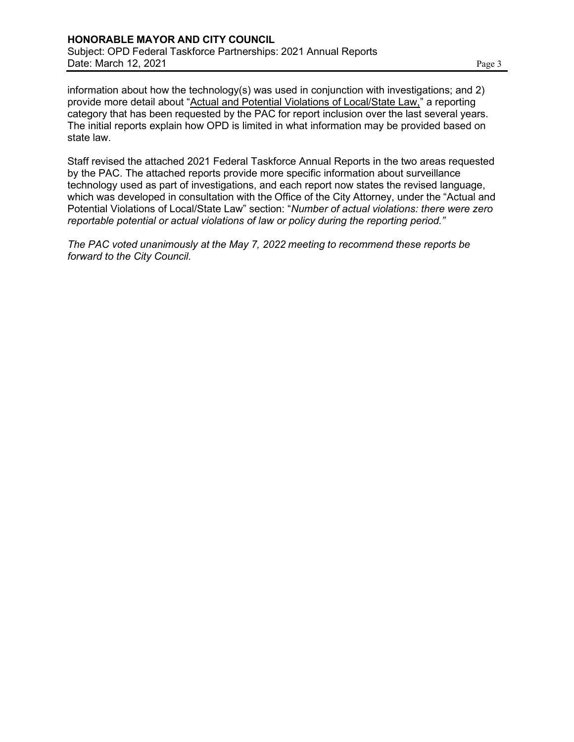information about how the technology(s) was used in conjunction with investigations; and 2) provide more detail about "Actual and Potential Violations of Local/State Law," a reporting category that has been requested by the PAC for report inclusion over the last several years. The initial reports explain how OPD is limited in what information may be provided based on state law.

Staff revised the attached 2021 Federal Taskforce Annual Reports in the two areas requested by the PAC. The attached reports provide more specific information about surveillance technology used as part of investigations, and each report now states the revised language, which was developed in consultation with the Office of the City Attorney, under the "Actual and Potential Violations of Local/State Law" section: "*Number of actual violations: there were zero reportable potential or actual violations of law or policy during the reporting period."*

*The PAC voted unanimously at the May 7, 2022 meeting to recommend these reports be forward to the City Council.*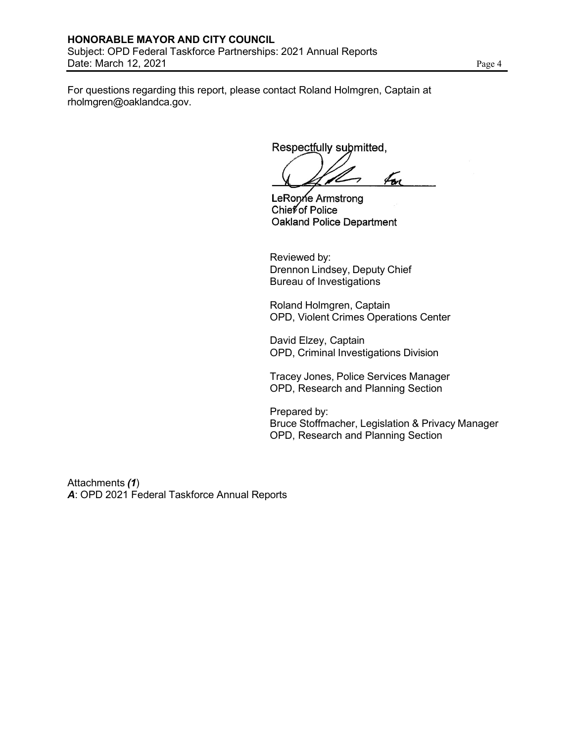Date: March 12, 2021 Page 4

For questions regarding this report, please contact Roland Holmgren, Captain at [rholmgren@oaklandca.gov.](mailto:rholmgren@oaklandca.gov)

Respectfully submitted,

fon

LeRonne Armstrong Chief of Police Oakland Police Department

Reviewed by: Drennon Lindsey, Deputy Chief Bureau of Investigations

Roland Holmgren, Captain OPD, Violent Crimes Operations Center

David Elzey, Captain OPD, Criminal Investigations Division

Tracey Jones, Police Services Manager OPD, Research and Planning Section

Prepared by: Bruce Stoffmacher, Legislation & Privacy Manager OPD, Research and Planning Section

Attachments *(1*) *A*: OPD 2021 Federal Taskforce Annual Reports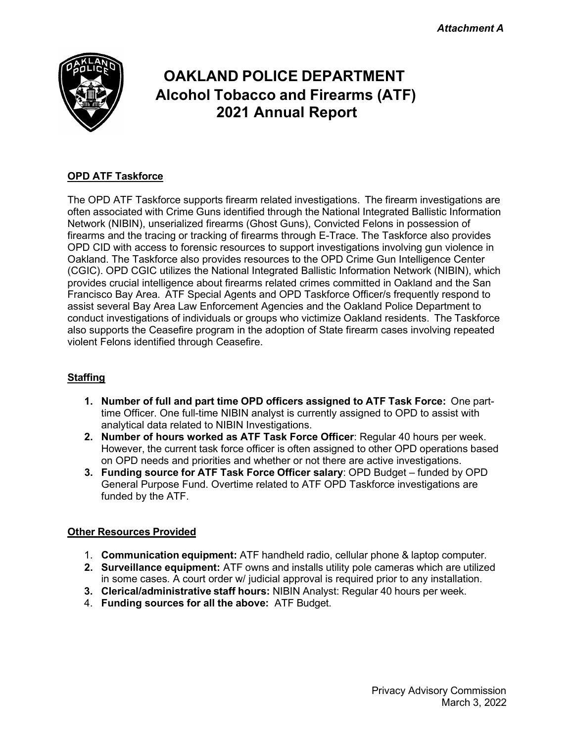*Attachment A*



# **OAKLAND POLICE DEPARTMENT Alcohol Tobacco and Firearms (ATF) 2021 Annual Report**

## **OPD ATF Taskforce**

The OPD ATF Taskforce supports firearm related investigations. The firearm investigations are often associated with Crime Guns identified through the National Integrated Ballistic Information Network (NIBIN), unserialized firearms (Ghost Guns), Convicted Felons in possession of firearms and the tracing or tracking of firearms through E-Trace. The Taskforce also provides OPD CID with access to forensic resources to support investigations involving gun violence in Oakland. The Taskforce also provides resources to the OPD Crime Gun Intelligence Center (CGIC). OPD CGIC utilizes the National Integrated Ballistic Information Network (NIBIN), which provides crucial intelligence about firearms related crimes committed in Oakland and the San Francisco Bay Area. ATF Special Agents and OPD Taskforce Officer/s frequently respond to assist several Bay Area Law Enforcement Agencies and the Oakland Police Department to conduct investigations of individuals or groups who victimize Oakland residents. The Taskforce also supports the Ceasefire program in the adoption of State firearm cases involving repeated violent Felons identified through Ceasefire.

#### **Staffing**

- **1. Number of full and part time OPD officers assigned to ATF Task Force:** One parttime Officer. One full-time NIBIN analyst is currently assigned to OPD to assist with analytical data related to NIBIN Investigations.
- **2. Number of hours worked as ATF Task Force Officer**: Regular 40 hours per week. However, the current task force officer is often assigned to other OPD operations based on OPD needs and priorities and whether or not there are active investigations.
- **3. Funding source for ATF Task Force Officer salary**: OPD Budget funded by OPD General Purpose Fund. Overtime related to ATF OPD Taskforce investigations are funded by the ATF.

#### **Other Resources Provided**

- 1. **Communication equipment:** ATF handheld radio, cellular phone & laptop computer.
- **2. Surveillance equipment:** ATF owns and installs utility pole cameras which are utilized in some cases. A court order w/ judicial approval is required prior to any installation.
- **3. Clerical/administrative staff hours:** NIBIN Analyst: Regular 40 hours per week.
- 4. **Funding sources for all the above:** ATF Budget.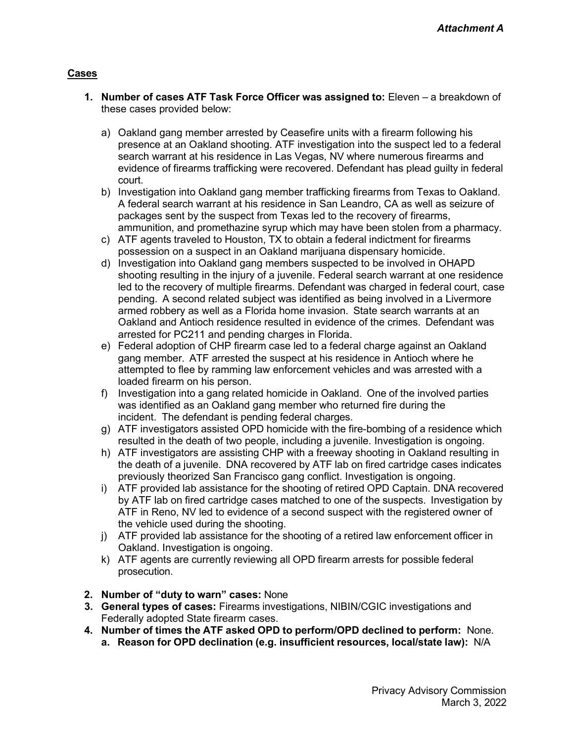#### **Cases**

- **1. Number of cases ATF Task Force Officer was assigned to:** Eleven a breakdown of these cases provided below:
	- a) Oakland gang member arrested by Ceasefire units with a firearm following his presence at an Oakland shooting. ATF investigation into the suspect led to a federal search warrant at his residence in Las Vegas, NV where numerous firearms and evidence of firearms trafficking were recovered. Defendant has plead guilty in federal court.
	- b) Investigation into Oakland gang member trafficking firearms from Texas to Oakland. A federal search warrant at his residence in San Leandro, CA as well as seizure of packages sent by the suspect from Texas led to the recovery of firearms, ammunition, and promethazine syrup which may have been stolen from a pharmacy.
	- c) ATF agents traveled to Houston, TX to obtain a federal indictment for firearms possession on a suspect in an Oakland marijuana dispensary homicide.
	- d) Investigation into Oakland gang members suspected to be involved in OHAPD shooting resulting in the injury of a juvenile. Federal search warrant at one residence led to the recovery of multiple firearms. Defendant was charged in federal court, case pending. A second related subject was identified as being involved in a Livermore armed robbery as well as a Florida home invasion. State search warrants at an Oakland and Antioch residence resulted in evidence of the crimes. Defendant was arrested for PC211 and pending charges in Florida.
	- e) Federal adoption of CHP firearm case led to a federal charge against an Oakland gang member. ATF arrested the suspect at his residence in Antioch where he attempted to flee by ramming law enforcement vehicles and was arrested with a loaded firearm on his person.
	- f) Investigation into a gang related homicide in Oakland. One of the involved parties was identified as an Oakland gang member who returned fire during the incident. The defendant is pending federal charges.
	- g) ATF investigators assisted OPD homicide with the fire-bombing of a residence which resulted in the death of two people, including a juvenile. Investigation is ongoing.
	- h) ATF investigators are assisting CHP with a freeway shooting in Oakland resulting in the death of a juvenile. DNA recovered by ATF lab on fired cartridge cases indicates previously theorized San Francisco gang conflict. Investigation is ongoing.
	- i) ATF provided lab assistance for the shooting of retired OPD Captain. DNA recovered by ATF lab on fired cartridge cases matched to one of the suspects. Investigation by ATF in Reno, NV led to evidence of a second suspect with the registered owner of the vehicle used during the shooting.
	- j) ATF provided lab assistance for the shooting of a retired law enforcement officer in Oakland. Investigation is ongoing.
	- k) ATF agents are currently reviewing all OPD firearm arrests for possible federal prosecution.
- **2. Number of "duty to warn" cases:** None
- **3. General types of cases:** Firearms investigations, NIBIN/CGIC investigations and Federally adopted State firearm cases.
- **4. Number of times the ATF asked OPD to perform/OPD declined to perform:** None.
	- **a. Reason for OPD declination (e.g. insufficient resources, local/state law):** N/A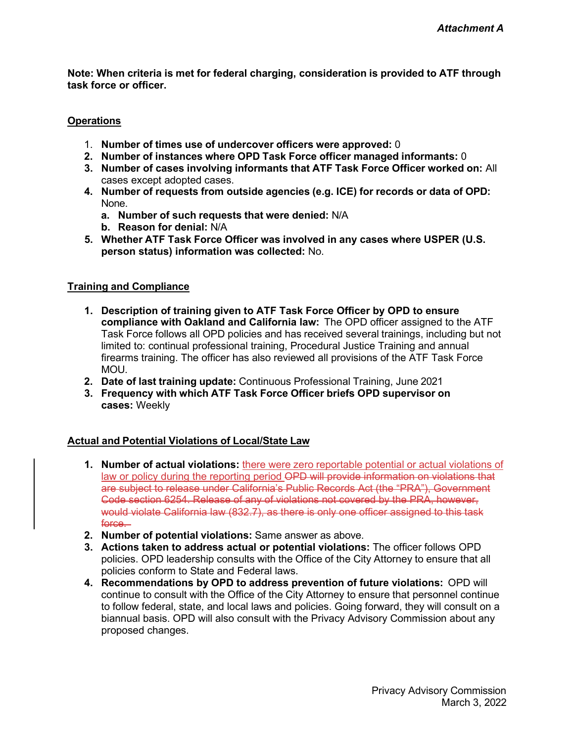**Note: When criteria is met for federal charging, consideration is provided to ATF through task force or officer.**

#### **Operations**

- 1. **Number of times use of undercover officers were approved:** 0
- **2. Number of instances where OPD Task Force officer managed informants:** 0
- **3. Number of cases involving informants that ATF Task Force Officer worked on:** All cases except adopted cases.
- **4. Number of requests from outside agencies (e.g. ICE) for records or data of OPD:** None.
	- **a. Number of such requests that were denied:** N/A
	- **b. Reason for denial:** N/A
- **5. Whether ATF Task Force Officer was involved in any cases where USPER (U.S. person status) information was collected:** No.

#### **Training and Compliance**

- **1. Description of training given to ATF Task Force Officer by OPD to ensure compliance with Oakland and California law:** The OPD officer assigned to the ATF Task Force follows all OPD policies and has received several trainings, including but not limited to: continual professional training, Procedural Justice Training and annual firearms training. The officer has also reviewed all provisions of the ATF Task Force MOU.
- **2. Date of last training update:** Continuous Professional Training, June 2021
- **3. Frequency with which ATF Task Force Officer briefs OPD supervisor on cases:** Weekly

#### **Actual and Potential Violations of Local/State Law**

- **1. Number of actual violations:** there were zero reportable potential or actual violations of law or policy during the reporting period OPD will provide information on violations that are subject to release under California's Public Records Act (the "PRA"), Government Code section 6254. Release of any of violations not covered by the PRA, however, would violate California law (832.7), as there is only one officer assigned to this task force —
- **2. Number of potential violations:** Same answer as above.
- **3. Actions taken to address actual or potential violations:** The officer follows OPD policies. OPD leadership consults with the Office of the City Attorney to ensure that all policies conform to State and Federal laws.
- **4. Recommendations by OPD to address prevention of future violations:** OPD will continue to consult with the Office of the City Attorney to ensure that personnel continue to follow federal, state, and local laws and policies. Going forward, they will consult on a biannual basis. OPD will also consult with the Privacy Advisory Commission about any proposed changes.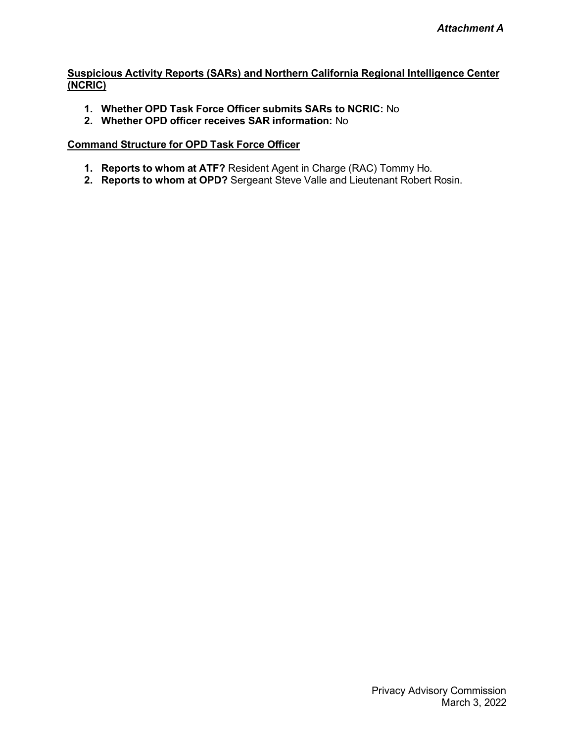#### **Suspicious Activity Reports (SARs) and Northern California Regional Intelligence Center (NCRIC)**

- **1. Whether OPD Task Force Officer submits SARs to NCRIC:** No
- **2. Whether OPD officer receives SAR information:** No

- **1. Reports to whom at ATF?** Resident Agent in Charge (RAC) Tommy Ho.
- **2. Reports to whom at OPD?** Sergeant Steve Valle and Lieutenant Robert Rosin.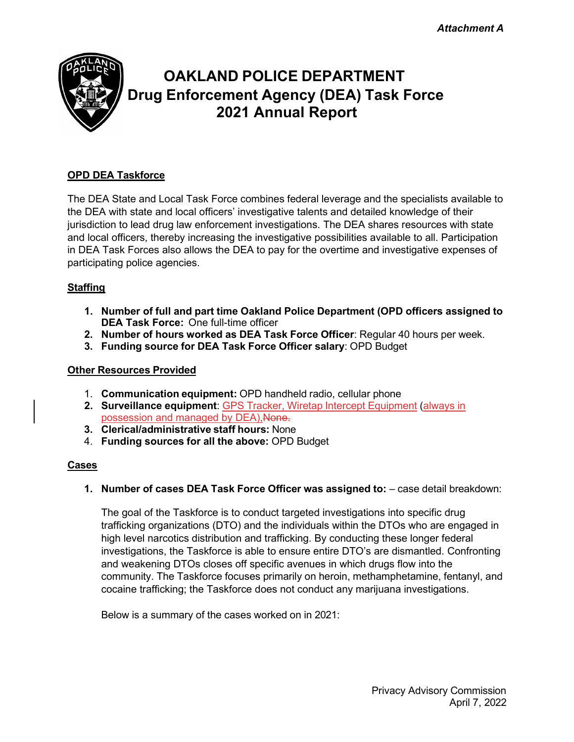*Attachment A*



# **OAKLAND POLICE DEPARTMENT Drug Enforcement Agency (DEA) Task Force 2021 Annual Report**

### **OPD DEA Taskforce**

The DEA State and Local Task Force combines federal leverage and the specialists available to the DEA with state and local officers' investigative talents and detailed knowledge of their jurisdiction to lead drug law enforcement investigations. The DEA shares resources with state and local officers, thereby increasing the investigative possibilities available to all. Participation in DEA Task Forces also allows the DEA to pay for the overtime and investigative expenses of participating police agencies.

#### **Staffing**

- **1. Number of full and part time Oakland Police Department (OPD officers assigned to DEA Task Force:** One full-time officer
- **2. Number of hours worked as DEA Task Force Officer**: Regular 40 hours per week.
- **3. Funding source for DEA Task Force Officer salary**: OPD Budget

#### **Other Resources Provided**

- 1. **Communication equipment:** OPD handheld radio, cellular phone
- **2. Surveillance equipment**: GPS Tracker, Wiretap Intercept Equipment (always in possession and managed by DEA), None.
- **3. Clerical/administrative staff hours:** None
- 4. **Funding sources for all the above:** OPD Budget

#### **Cases**

**1. Number of cases DEA Task Force Officer was assigned to:** – case detail breakdown:

The goal of the Taskforce is to conduct targeted investigations into specific drug trafficking organizations (DTO) and the individuals within the DTOs who are engaged in high level narcotics distribution and trafficking. By conducting these longer federal investigations, the Taskforce is able to ensure entire DTO's are dismantled. Confronting and weakening DTOs closes off specific avenues in which drugs flow into the community. The Taskforce focuses primarily on heroin, methamphetamine, fentanyl, and cocaine trafficking; the Taskforce does not conduct any marijuana investigations.

Below is a summary of the cases worked on in 2021: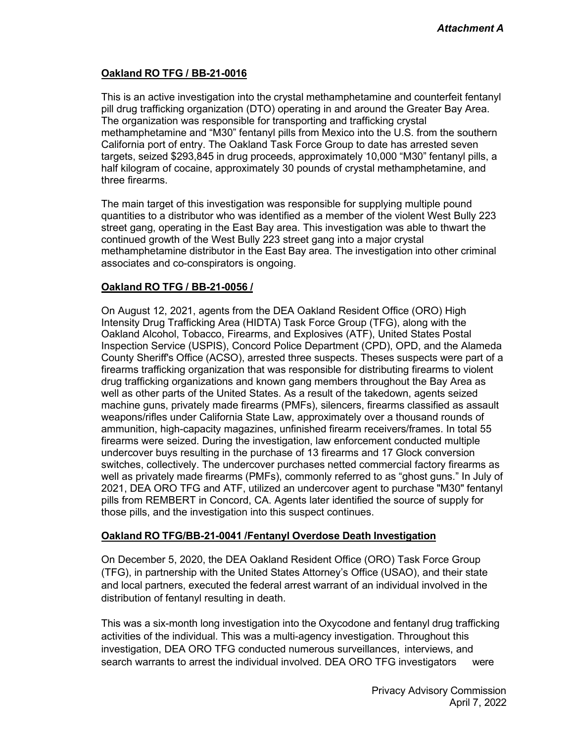#### **Oakland RO TFG / BB-21-0016**

This is an active investigation into the crystal methamphetamine and counterfeit fentanyl pill drug trafficking organization (DTO) operating in and around the Greater Bay Area. The organization was responsible for transporting and trafficking crystal methamphetamine and "M30" fentanyl pills from Mexico into the U.S. from the southern California port of entry. The Oakland Task Force Group to date has arrested seven targets, seized \$293,845 in drug proceeds, approximately 10,000 "M30" fentanyl pills, a half kilogram of cocaine, approximately 30 pounds of crystal methamphetamine, and three firearms.

The main target of this investigation was responsible for supplying multiple pound quantities to a distributor who was identified as a member of the violent West Bully 223 street gang, operating in the East Bay area. This investigation was able to thwart the continued growth of the West Bully 223 street gang into a major crystal methamphetamine distributor in the East Bay area. The investigation into other criminal associates and co-conspirators is ongoing.

#### **Oakland RO TFG / BB-21-0056 /**

On August 12, 2021, agents from the DEA Oakland Resident Office (ORO) High Intensity Drug Trafficking Area (HIDTA) Task Force Group (TFG), along with the Oakland Alcohol, Tobacco, Firearms, and Explosives (ATF), United States Postal Inspection Service (USPIS), Concord Police Department (CPD), OPD, and the Alameda County Sheriff's Office (ACSO), arrested three suspects. Theses suspects were part of a firearms trafficking organization that was responsible for distributing firearms to violent drug trafficking organizations and known gang members throughout the Bay Area as well as other parts of the United States. As a result of the takedown, agents seized machine guns, privately made firearms (PMFs), silencers, firearms classified as assault weapons/rifles under California State Law, approximately over a thousand rounds of ammunition, high-capacity magazines, unfinished firearm receivers/frames. In total 55 firearms were seized. During the investigation, law enforcement conducted multiple undercover buys resulting in the purchase of 13 firearms and 17 Glock conversion switches, collectively. The undercover purchases netted commercial factory firearms as well as privately made firearms (PMFs), commonly referred to as "ghost guns." In July of 2021, DEA ORO TFG and ATF, utilized an undercover agent to purchase "M30" fentanyl pills from REMBERT in Concord, CA. Agents later identified the source of supply for those pills, and the investigation into this suspect continues.

#### **Oakland RO TFG/BB-21-0041 /Fentanyl Overdose Death Investigation**

On December 5, 2020, the DEA Oakland Resident Office (ORO) Task Force Group (TFG), in partnership with the United States Attorney's Office (USAO), and their state and local partners, executed the federal arrest warrant of an individual involved in the distribution of fentanyl resulting in death.

This was a six-month long investigation into the Oxycodone and fentanyl drug trafficking activities of the individual. This was a multi-agency investigation. Throughout this investigation, DEA ORO TFG conducted numerous surveillances, interviews, and search warrants to arrest the individual involved. DEA ORO TFG investigators were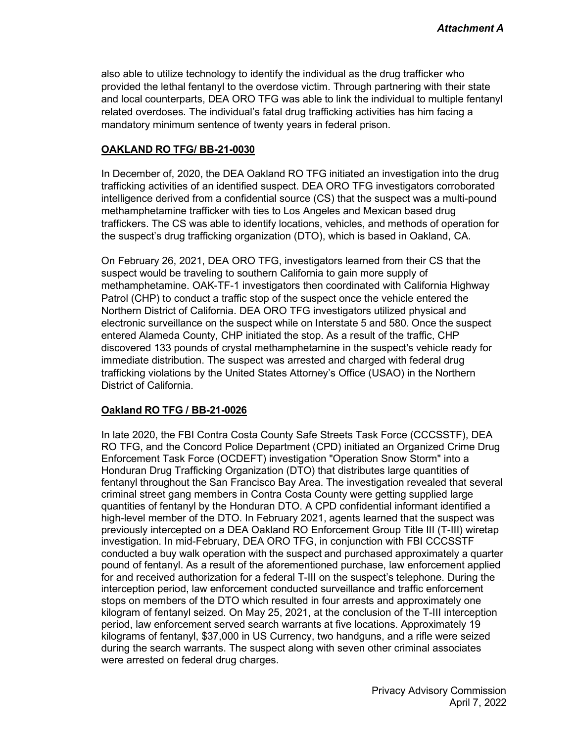also able to utilize technology to identify the individual as the drug trafficker who provided the lethal fentanyl to the overdose victim. Through partnering with their state and local counterparts, DEA ORO TFG was able to link the individual to multiple fentanyl related overdoses. The individual's fatal drug trafficking activities has him facing a mandatory minimum sentence of twenty years in federal prison.

#### **OAKLAND RO TFG/ BB-21-0030**

In December of, 2020, the DEA Oakland RO TFG initiated an investigation into the drug trafficking activities of an identified suspect. DEA ORO TFG investigators corroborated intelligence derived from a confidential source (CS) that the suspect was a multi-pound methamphetamine trafficker with ties to Los Angeles and Mexican based drug traffickers. The CS was able to identify locations, vehicles, and methods of operation for the suspect's drug trafficking organization (DTO), which is based in Oakland, CA.

On February 26, 2021, DEA ORO TFG, investigators learned from their CS that the suspect would be traveling to southern California to gain more supply of methamphetamine. OAK-TF-1 investigators then coordinated with California Highway Patrol (CHP) to conduct a traffic stop of the suspect once the vehicle entered the Northern District of California. DEA ORO TFG investigators utilized physical and electronic surveillance on the suspect while on Interstate 5 and 580. Once the suspect entered Alameda County, CHP initiated the stop. As a result of the traffic, CHP discovered 133 pounds of crystal methamphetamine in the suspect's vehicle ready for immediate distribution. The suspect was arrested and charged with federal drug trafficking violations by the United States Attorney's Office (USAO) in the Northern District of California.

#### **Oakland RO TFG / BB-21-0026**

In late 2020, the FBI Contra Costa County Safe Streets Task Force (CCCSSTF), DEA RO TFG, and the Concord Police Department (CPD) initiated an Organized Crime Drug Enforcement Task Force (OCDEFT) investigation "Operation Snow Storm" into a Honduran Drug Trafficking Organization (DTO) that distributes large quantities of fentanyl throughout the San Francisco Bay Area. The investigation revealed that several criminal street gang members in Contra Costa County were getting supplied large quantities of fentanyl by the Honduran DTO. A CPD confidential informant identified a high-level member of the DTO. In February 2021, agents learned that the suspect was previously intercepted on a DEA Oakland RO Enforcement Group Title III (T-III) wiretap investigation. In mid-February, DEA ORO TFG, in conjunction with FBI CCCSSTF conducted a buy walk operation with the suspect and purchased approximately a quarter pound of fentanyl. As a result of the aforementioned purchase, law enforcement applied for and received authorization for a federal T-III on the suspect's telephone. During the interception period, law enforcement conducted surveillance and traffic enforcement stops on members of the DTO which resulted in four arrests and approximately one kilogram of fentanyl seized. On May 25, 2021, at the conclusion of the T-III interception period, law enforcement served search warrants at five locations. Approximately 19 kilograms of fentanyl, \$37,000 in US Currency, two handguns, and a rifle were seized during the search warrants. The suspect along with seven other criminal associates were arrested on federal drug charges.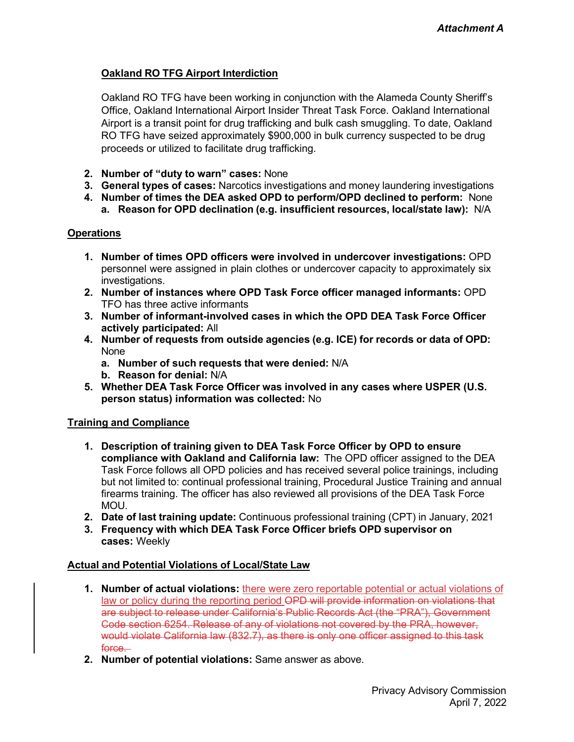### **Oakland RO TFG Airport Interdiction**

Oakland RO TFG have been working in conjunction with the Alameda County Sheriff's Office, Oakland International Airport Insider Threat Task Force. Oakland International Airport is a transit point for drug trafficking and bulk cash smuggling. To date, Oakland RO TFG have seized approximately \$900,000 in bulk currency suspected to be drug proceeds or utilized to facilitate drug trafficking.

- **2. Number of "duty to warn" cases:** None
- **3. General types of cases:** Narcotics investigations and money laundering investigations
- **4. Number of times the DEA asked OPD to perform/OPD declined to perform:** None **a. Reason for OPD declination (e.g. insufficient resources, local/state law):** N/A

#### **Operations**

- **1. Number of times OPD officers were involved in undercover investigations:** OPD personnel were assigned in plain clothes or undercover capacity to approximately six investigations.
- **2. Number of instances where OPD Task Force officer managed informants:** OPD TFO has three active informants
- **3. Number of informant-involved cases in which the OPD DEA Task Force Officer actively participated:** All
- **4. Number of requests from outside agencies (e.g. ICE) for records or data of OPD:** None
	- **a. Number of such requests that were denied:** N/A
	- **b. Reason for denial:** N/A
- **5. Whether DEA Task Force Officer was involved in any cases where USPER (U.S. person status) information was collected:** No

#### **Training and Compliance**

- **1. Description of training given to DEA Task Force Officer by OPD to ensure compliance with Oakland and California law:** The OPD officer assigned to the DEA Task Force follows all OPD policies and has received several police trainings, including but not limited to: continual professional training, Procedural Justice Training and annual firearms training. The officer has also reviewed all provisions of the DEA Task Force MOU.
- **2. Date of last training update:** Continuous professional training (CPT) in January, 2021
- **3. Frequency with which DEA Task Force Officer briefs OPD supervisor on cases:** Weekly

#### **Actual and Potential Violations of Local/State Law**

- **1. Number of actual violations:** there were zero reportable potential or actual violations of law or policy during the reporting period OPD will provide information on violations that are subject to release under California's Public Records Act (the "PRA"), Government Code section 6254. Release of any of violations not covered by the PRA, however, would violate California law (832.7), as there is only one officer assigned to this task force.
- **2. Number of potential violations:** Same answer as above.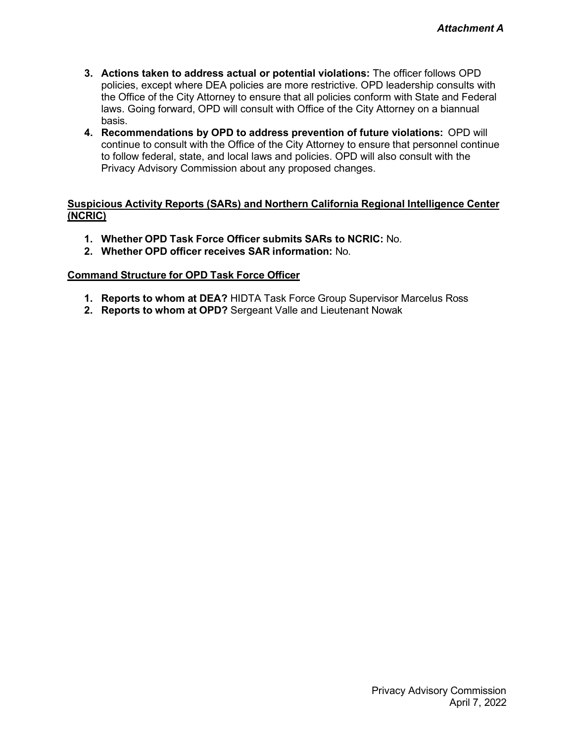- **3. Actions taken to address actual or potential violations:** The officer follows OPD policies, except where DEA policies are more restrictive. OPD leadership consults with the Office of the City Attorney to ensure that all policies conform with State and Federal laws. Going forward, OPD will consult with Office of the City Attorney on a biannual basis.
- **4. Recommendations by OPD to address prevention of future violations:** OPD will continue to consult with the Office of the City Attorney to ensure that personnel continue to follow federal, state, and local laws and policies. OPD will also consult with the Privacy Advisory Commission about any proposed changes.

#### **Suspicious Activity Reports (SARs) and Northern California Regional Intelligence Center (NCRIC)**

- **1. Whether OPD Task Force Officer submits SARs to NCRIC:** No.
- **2. Whether OPD officer receives SAR information:** No.

- **1. Reports to whom at DEA?** HIDTA Task Force Group Supervisor Marcelus Ross
- **2. Reports to whom at OPD?** Sergeant Valle and Lieutenant Nowak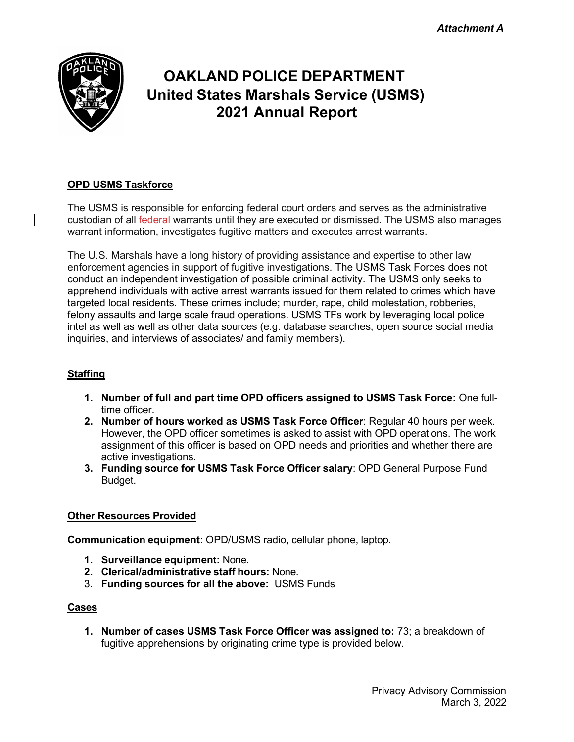

# **OAKLAND POLICE DEPARTMENT United States Marshals Service (USMS) 2021 Annual Report**

## **OPD USMS Taskforce**

The USMS is responsible for enforcing federal court orders and serves as the administrative custodian of all federal warrants until they are executed or dismissed. The USMS also manages warrant information, investigates fugitive matters and executes arrest warrants.

The U.S. Marshals have a long history of providing assistance and expertise to other law enforcement agencies in support of fugitive investigations. The USMS Task Forces does not conduct an independent investigation of possible criminal activity. The USMS only seeks to apprehend individuals with active arrest warrants issued for them related to crimes which have targeted local residents. These crimes include; murder, rape, child molestation, robberies, felony assaults and large scale fraud operations. USMS TFs work by leveraging local police intel as well as well as other data sources (e.g. database searches, open source social media inquiries, and interviews of associates/ and family members).

## **Staffing**

- **1. Number of full and part time OPD officers assigned to USMS Task Force:** One fulltime officer.
- **2. Number of hours worked as USMS Task Force Officer**: Regular 40 hours per week. However, the OPD officer sometimes is asked to assist with OPD operations. The work assignment of this officer is based on OPD needs and priorities and whether there are active investigations.
- **3. Funding source for USMS Task Force Officer salary**: OPD General Purpose Fund Budget.

#### **Other Resources Provided**

**Communication equipment:** OPD/USMS radio, cellular phone, laptop.

- **1. Surveillance equipment:** None.
- **2. Clerical/administrative staff hours:** None.
- 3. **Funding sources for all the above:** USMS Funds

#### **Cases**

**1. Number of cases USMS Task Force Officer was assigned to:** 73; a breakdown of fugitive apprehensions by originating crime type is provided below.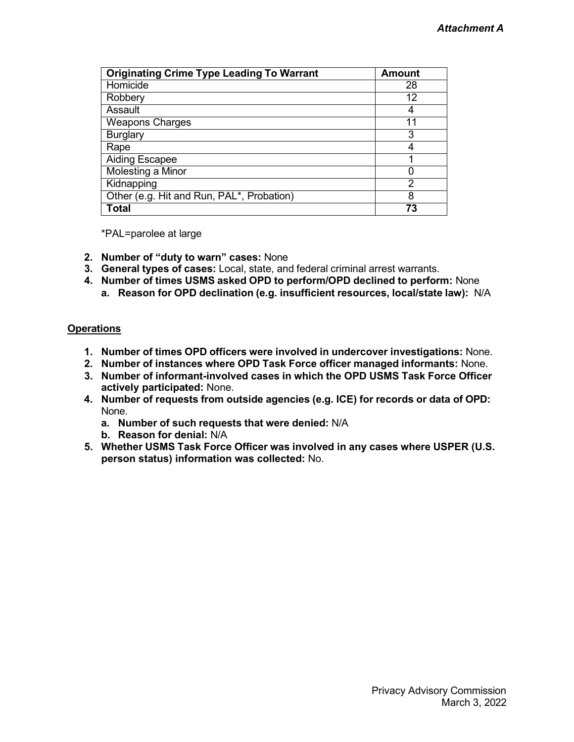| <b>Originating Crime Type Leading To Warrant</b>       | <b>Amount</b> |
|--------------------------------------------------------|---------------|
| Homicide                                               | 28            |
| Robbery                                                | 12            |
| Assault                                                | 4             |
| <b>Weapons Charges</b>                                 | 11            |
| <b>Burglary</b>                                        | 3             |
| Rape                                                   |               |
| <b>Aiding Escapee</b>                                  |               |
| <b>Molesting a Minor</b>                               | O             |
| Kidnapping                                             | 2             |
| Other (e.g. Hit and Run, PAL <sup>*</sup> , Probation) | 8             |
| <b>Total</b>                                           | 73            |

\*PAL=parolee at large

- **2. Number of "duty to warn" cases:** None
- **3. General types of cases:** Local, state, and federal criminal arrest warrants.
- **4. Number of times USMS asked OPD to perform/OPD declined to perform:** None **a. Reason for OPD declination (e.g. insufficient resources, local/state law):** N/A

#### **Operations**

- **1. Number of times OPD officers were involved in undercover investigations:** None.
- **2. Number of instances where OPD Task Force officer managed informants:** None.
- **3. Number of informant-involved cases in which the OPD USMS Task Force Officer actively participated:** None.
- **4. Number of requests from outside agencies (e.g. ICE) for records or data of OPD:** None.
	- **a. Number of such requests that were denied:** N/A
	- **b. Reason for denial:** N/A
- **5. Whether USMS Task Force Officer was involved in any cases where USPER (U.S. person status) information was collected:** No.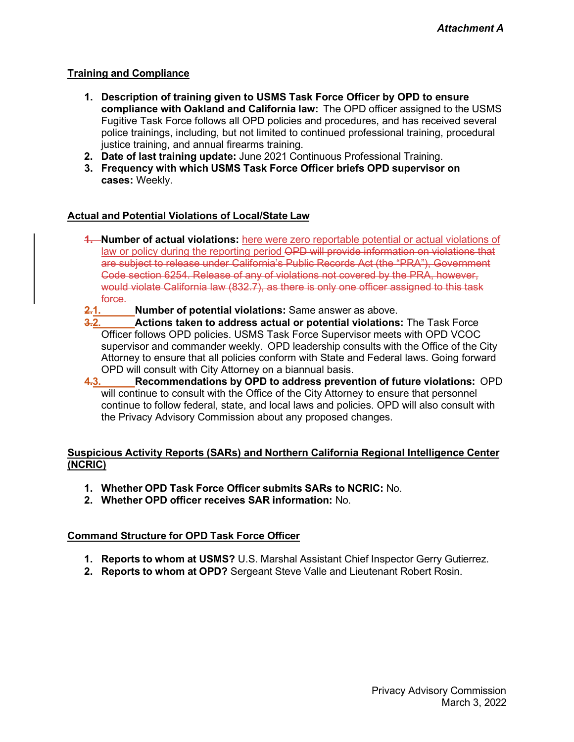#### **Training and Compliance**

- **1. Description of training given to USMS Task Force Officer by OPD to ensure compliance with Oakland and California law:** The OPD officer assigned to the USMS Fugitive Task Force follows all OPD policies and procedures, and has received several police trainings, including, but not limited to continued professional training, procedural justice training, and annual firearms training.
- **2. Date of last training update:** June 2021 Continuous Professional Training.
- **3. Frequency with which USMS Task Force Officer briefs OPD supervisor on cases:** Weekly.

#### **Actual and Potential Violations of Local/State Law**

- **1. Number of actual violations:** here were zero reportable potential or actual violations of law or policy during the reporting period OPD will provide information on violations that are subject to release under California's Public Records Act (the "PRA"), Government Code section 6254. Release of any of violations not covered by the PRA, however, would violate California law (832.7), as there is only one officer assigned to this task force.
- **2.1. Number of potential violations:** Same answer as above.
- **3.2. Actions taken to address actual or potential violations:** The Task Force Officer follows OPD policies. USMS Task Force Supervisor meets with OPD VCOC supervisor and commander weekly. OPD leadership consults with the Office of the City Attorney to ensure that all policies conform with State and Federal laws. Going forward OPD will consult with City Attorney on a biannual basis.<br>**4.3.** Recommendations by OPD to address prever
- **4.3. Recommendations by OPD to address prevention of future violations:** OPD will continue to consult with the Office of the City Attorney to ensure that personnel continue to follow federal, state, and local laws and policies. OPD will also consult with the Privacy Advisory Commission about any proposed changes.

#### **Suspicious Activity Reports (SARs) and Northern California Regional Intelligence Center (NCRIC)**

- **1. Whether OPD Task Force Officer submits SARs to NCRIC:** No.
- **2. Whether OPD officer receives SAR information:** No.

- **1. Reports to whom at USMS?** U.S. Marshal Assistant Chief Inspector Gerry Gutierrez.
- **2. Reports to whom at OPD?** Sergeant Steve Valle and Lieutenant Robert Rosin.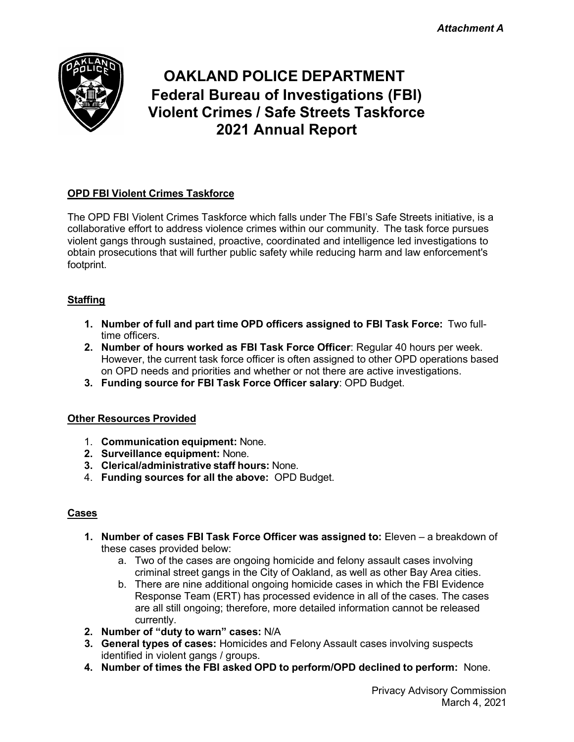*Attachment A*



# **OAKLAND POLICE DEPARTMENT Federal Bureau of Investigations (FBI) Violent Crimes / Safe Streets Taskforce 2021 Annual Report**

# **OPD FBI Violent Crimes Taskforce**

The OPD FBI Violent Crimes Taskforce which falls under The FBI's Safe Streets initiative, is a collaborative effort to address violence crimes within our community. The task force pursues violent gangs through sustained, proactive, coordinated and intelligence led investigations to obtain prosecutions that will further public safety while reducing harm and law enforcement's footprint.

# **Staffing**

- **1. Number of full and part time OPD officers assigned to FBI Task Force:** Two fulltime officers.
- **2. Number of hours worked as FBI Task Force Officer**: Regular 40 hours per week. However, the current task force officer is often assigned to other OPD operations based on OPD needs and priorities and whether or not there are active investigations.
- **3. Funding source for FBI Task Force Officer salary**: OPD Budget.

#### **Other Resources Provided**

- 1. **Communication equipment:** None.
- **2. Surveillance equipment:** None.
- **3. Clerical/administrative staff hours:** None.
- 4. **Funding sources for all the above:** OPD Budget.

#### **Cases**

- **1. Number of cases FBI Task Force Officer was assigned to:** Eleven a breakdown of these cases provided below:
	- a. Two of the cases are ongoing homicide and felony assault cases involving criminal street gangs in the City of Oakland, as well as other Bay Area cities.
	- b. There are nine additional ongoing homicide cases in which the FBI Evidence Response Team (ERT) has processed evidence in all of the cases. The cases are all still ongoing; therefore, more detailed information cannot be released currently.
- **2. Number of "duty to warn" cases:** N/A
- **3. General types of cases:** Homicides and Felony Assault cases involving suspects identified in violent gangs / groups.
- **4. Number of times the FBI asked OPD to perform/OPD declined to perform:** None.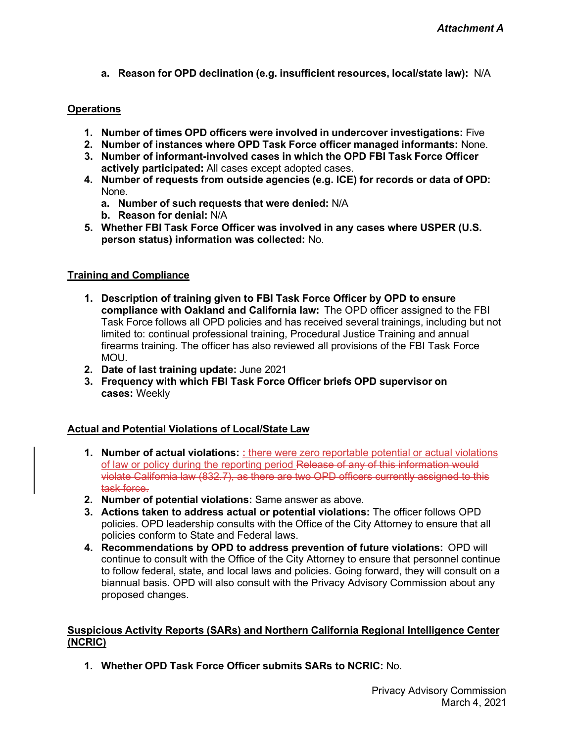**a. Reason for OPD declination (e.g. insufficient resources, local/state law):** N/A

#### **Operations**

- **1. Number of times OPD officers were involved in undercover investigations:** Five
- **2. Number of instances where OPD Task Force officer managed informants:** None.
- **3. Number of informant-involved cases in which the OPD FBI Task Force Officer actively participated:** All cases except adopted cases.
- **4. Number of requests from outside agencies (e.g. ICE) for records or data of OPD:** None.
	- **a. Number of such requests that were denied:** N/A
	- **b. Reason for denial:** N/A
- **5. Whether FBI Task Force Officer was involved in any cases where USPER (U.S. person status) information was collected:** No.

#### **Training and Compliance**

- **1. Description of training given to FBI Task Force Officer by OPD to ensure compliance with Oakland and California law:** The OPD officer assigned to the FBI Task Force follows all OPD policies and has received several trainings, including but not limited to: continual professional training, Procedural Justice Training and annual firearms training. The officer has also reviewed all provisions of the FBI Task Force MOU.
- **2. Date of last training update:** June 2021
- **3. Frequency with which FBI Task Force Officer briefs OPD supervisor on cases:** Weekly

#### **Actual and Potential Violations of Local/State Law**

- **1. Number of actual violations: :** there were zero reportable potential or actual violations of law or policy during the reporting period Release of any of this information would violate California law (832.7), as there are two OPD officers currently assigned to this task force.
- **2. Number of potential violations:** Same answer as above.
- **3. Actions taken to address actual or potential violations:** The officer follows OPD policies. OPD leadership consults with the Office of the City Attorney to ensure that all policies conform to State and Federal laws.
- **4. Recommendations by OPD to address prevention of future violations:** OPD will continue to consult with the Office of the City Attorney to ensure that personnel continue to follow federal, state, and local laws and policies. Going forward, they will consult on a biannual basis. OPD will also consult with the Privacy Advisory Commission about any proposed changes.

#### **Suspicious Activity Reports (SARs) and Northern California Regional Intelligence Center (NCRIC)**

**1. Whether OPD Task Force Officer submits SARs to NCRIC:** No.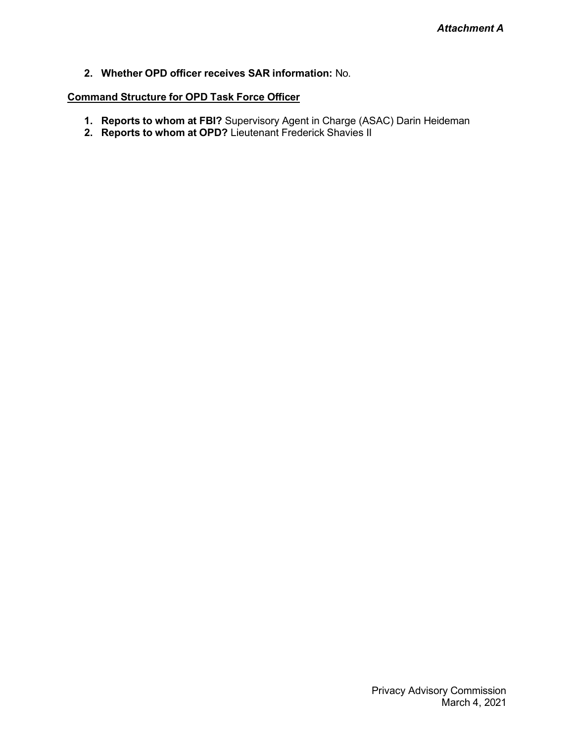**2. Whether OPD officer receives SAR information:** No.

- **1. Reports to whom at FBI?** Supervisory Agent in Charge (ASAC) Darin Heideman
- **2. Reports to whom at OPD?** Lieutenant Frederick Shavies II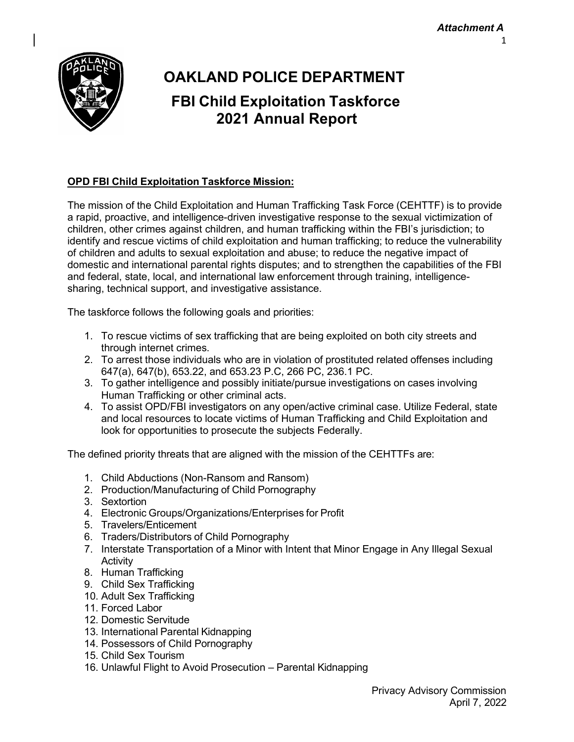

# **OAKLAND POLICE DEPARTMENT FBI Child Exploitation Taskforce 2021 Annual Report**

## **OPD FBI Child Exploitation Taskforce Mission:**

The mission of the Child Exploitation and Human Trafficking Task Force (CEHTTF) is to provide a rapid, proactive, and intelligence-driven investigative response to the sexual victimization of children, other crimes against children, and human trafficking within the FBI's jurisdiction; to identify and rescue victims of child exploitation and human trafficking; to reduce the vulnerability of children and adults to sexual exploitation and abuse; to reduce the negative impact of domestic and international parental rights disputes; and to strengthen the capabilities of the FBI and federal, state, local, and international law enforcement through training, intelligencesharing, technical support, and investigative assistance.

The taskforce follows the following goals and priorities:

- 1. To rescue victims of sex trafficking that are being exploited on both city streets and through internet crimes.
- 2. To arrest those individuals who are in violation of prostituted related offenses including 647(a), 647(b), 653.22, and 653.23 P.C, 266 PC, 236.1 PC.
- 3. To gather intelligence and possibly initiate/pursue investigations on cases involving Human Trafficking or other criminal acts.
- 4. To assist OPD/FBI investigators on any open/active criminal case. Utilize Federal, state and local resources to locate victims of Human Trafficking and Child Exploitation and look for opportunities to prosecute the subjects Federally.

The defined priority threats that are aligned with the mission of the CEHTTFs are:

- 1. Child Abductions (Non-Ransom and Ransom)
- 2. Production/Manufacturing of Child Pornography
- 3. Sextortion
- 4. Electronic Groups/Organizations/Enterprises for Profit
- 5. Travelers/Enticement
- 6. Traders/Distributors of Child Pornography
- 7. Interstate Transportation of a Minor with Intent that Minor Engage in Any Illegal Sexual **Activity**
- 8. Human Trafficking
- 9. Child Sex Trafficking
- 10. Adult Sex Trafficking
- 11. Forced Labor
- 12. Domestic Servitude
- 13. International Parental Kidnapping
- 14. Possessors of Child Pornography
- 15. Child Sex Tourism
- 16. Unlawful Flight to Avoid Prosecution Parental Kidnapping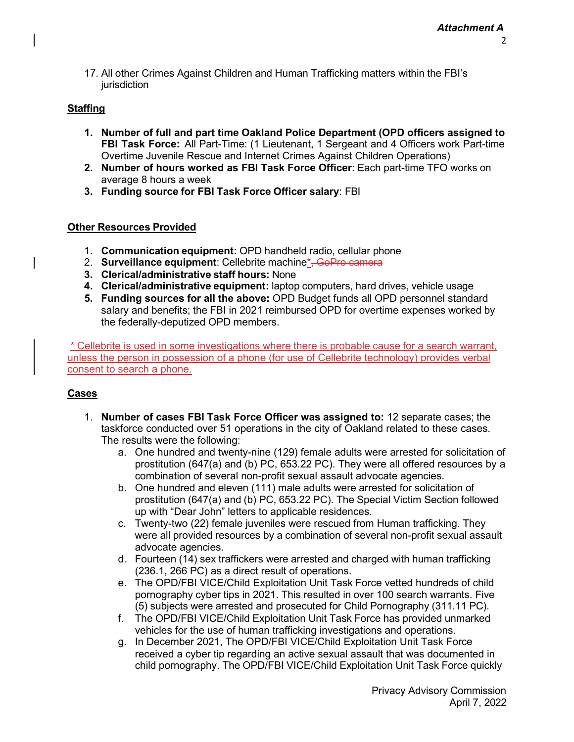17. All other Crimes Against Children and Human Trafficking matters within the FBI's iurisdiction

#### **Staffing**

- **1. Number of full and part time Oakland Police Department (OPD officers assigned to FBI Task Force:** All Part-Time: (1 Lieutenant, 1 Sergeant and 4 Officers work Part-time Overtime Juvenile Rescue and Internet Crimes Against Children Operations)
- **2. Number of hours worked as FBI Task Force Officer**: Each part-time TFO works on average 8 hours a week
- **3. Funding source for FBI Task Force Officer salary**: FBI

#### **Other Resources Provided**

- 1. **Communication equipment:** OPD handheld radio, cellular phone
- 2. **Surveillance equipment**: Cellebrite machine\*, GoPro camera
- **3. Clerical/administrative staff hours:** None
- **4. Clerical/administrative equipment:** laptop computers, hard drives, vehicle usage
- **5. Funding sources for all the above:** OPD Budget funds all OPD personnel standard salary and benefits; the FBI in 2021 reimbursed OPD for overtime expenses worked by the federally-deputized OPD members.

\* Cellebrite is used in some investigations where there is probable cause for a search warrant, unless the person in possession of a phone (for use of Cellebrite technology) provides verbal consent to search a phone.

#### **Cases**

- 1. **Number of cases FBI Task Force Officer was assigned to:** 12 separate cases; the taskforce conducted over 51 operations in the city of Oakland related to these cases. The results were the following:
	- a. One hundred and twenty-nine (129) female adults were arrested for solicitation of prostitution (647(a) and (b) PC, 653.22 PC). They were all offered resources by a combination of several non-profit sexual assault advocate agencies.
	- b. One hundred and eleven (111) male adults were arrested for solicitation of prostitution (647(a) and (b) PC, 653.22 PC). The Special Victim Section followed up with "Dear John" letters to applicable residences.
	- c. Twenty-two (22) female juveniles were rescued from Human trafficking. They were all provided resources by a combination of several non-profit sexual assault advocate agencies.
	- d. Fourteen (14) sex traffickers were arrested and charged with human trafficking (236.1, 266 PC) as a direct result of operations.
	- e. The OPD/FBI VICE/Child Exploitation Unit Task Force vetted hundreds of child pornography cyber tips in 2021. This resulted in over 100 search warrants. Five (5) subjects were arrested and prosecuted for Child Pornography (311.11 PC).
	- f. The OPD/FBI VICE/Child Exploitation Unit Task Force has provided unmarked vehicles for the use of human trafficking investigations and operations.
	- g. In December 2021, The OPD/FBI VICE/Child Exploitation Unit Task Force received a cyber tip regarding an active sexual assault that was documented in child pornography. The OPD/FBI VICE/Child Exploitation Unit Task Force quickly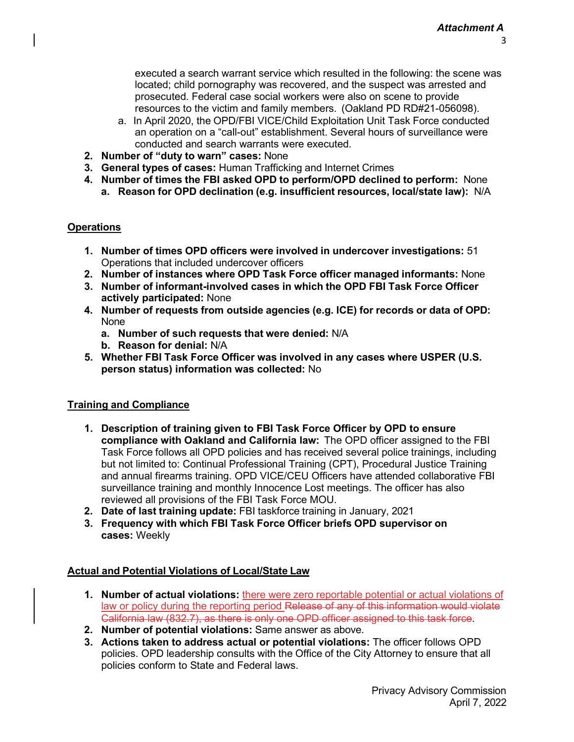executed a search warrant service which resulted in the following: the scene was located; child pornography was recovered, and the suspect was arrested and prosecuted. Federal case social workers were also on scene to provide resources to the victim and family members. (Oakland PD RD#21-056098).

- a. In April 2020, the OPD/FBI VICE/Child Exploitation Unit Task Force conducted an operation on a "call-out" establishment. Several hours of surveillance were conducted and search warrants were executed.
- **2. Number of "duty to warn" cases:** None
- **3. General types of cases:** Human Trafficking and Internet Crimes
- **4. Number of times the FBI asked OPD to perform/OPD declined to perform:** None
	- **a. Reason for OPD declination (e.g. insufficient resources, local/state law):** N/A

# **Operations**

- **1. Number of times OPD officers were involved in undercover investigations:** 51 Operations that included undercover officers
- **2. Number of instances where OPD Task Force officer managed informants:** None
- **3. Number of informant-involved cases in which the OPD FBI Task Force Officer actively participated:** None
- **4. Number of requests from outside agencies (e.g. ICE) for records or data of OPD:** None
	- **a. Number of such requests that were denied:** N/A
	- **b. Reason for denial:** N/A
- **5. Whether FBI Task Force Officer was involved in any cases where USPER (U.S. person status) information was collected:** No

# **Training and Compliance**

- **1. Description of training given to FBI Task Force Officer by OPD to ensure compliance with Oakland and California law:** The OPD officer assigned to the FBI Task Force follows all OPD policies and has received several police trainings, including but not limited to: Continual Professional Training (CPT), Procedural Justice Training and annual firearms training. OPD VICE/CEU Officers have attended collaborative FBI surveillance training and monthly Innocence Lost meetings. The officer has also reviewed all provisions of the FBI Task Force MOU.
- **2. Date of last training update:** FBI taskforce training in January, 2021
- **3. Frequency with which FBI Task Force Officer briefs OPD supervisor on cases:** Weekly

#### **Actual and Potential Violations of Local/State Law**

- **1. Number of actual violations:** there were zero reportable potential or actual violations of law or policy during the reporting period Release of any of this information would violate California law (832.7), as there is only one OPD officer assigned to this task force.
- **2. Number of potential violations:** Same answer as above.
- **3. Actions taken to address actual or potential violations:** The officer follows OPD policies. OPD leadership consults with the Office of the City Attorney to ensure that all policies conform to State and Federal laws.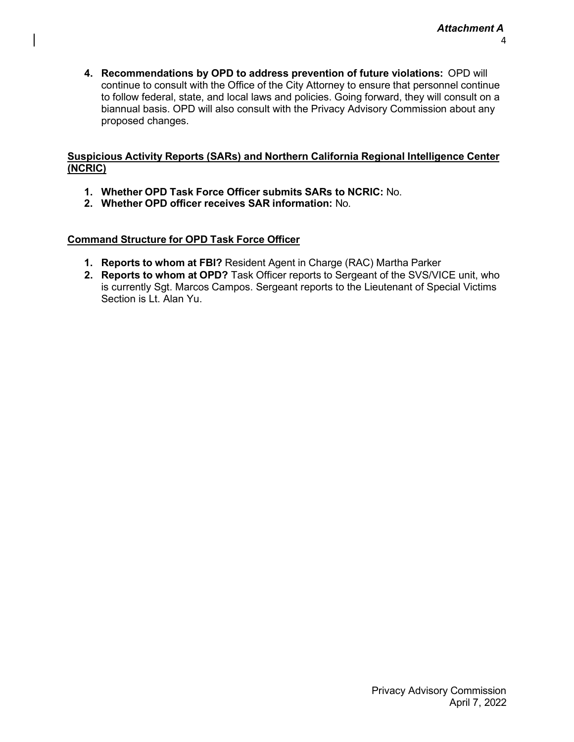**4. Recommendations by OPD to address prevention of future violations:** OPD will continue to consult with the Office of the City Attorney to ensure that personnel continue to follow federal, state, and local laws and policies. Going forward, they will consult on a biannual basis. OPD will also consult with the Privacy Advisory Commission about any proposed changes.

#### **Suspicious Activity Reports (SARs) and Northern California Regional Intelligence Center (NCRIC)**

- **1. Whether OPD Task Force Officer submits SARs to NCRIC:** No.
- **2. Whether OPD officer receives SAR information:** No.

- **1. Reports to whom at FBI?** Resident Agent in Charge (RAC) Martha Parker
- **2. Reports to whom at OPD?** Task Officer reports to Sergeant of the SVS/VICE unit, who is currently Sgt. Marcos Campos. Sergeant reports to the Lieutenant of Special Victims Section is Lt. Alan Yu.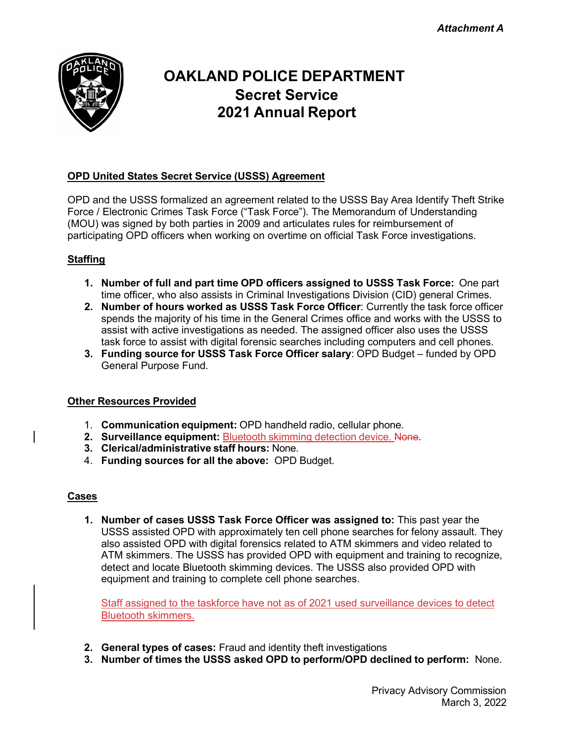

# **OAKLAND POLICE DEPARTMENT Secret Service 2021 Annual Report**

### **OPD United States Secret Service (USSS) Agreement**

OPD and the USSS formalized an agreement related to the USSS Bay Area Identify Theft Strike Force / Electronic Crimes Task Force ("Task Force"). The Memorandum of Understanding (MOU) was signed by both parties in 2009 and articulates rules for reimbursement of participating OPD officers when working on overtime on official Task Force investigations.

#### **Staffing**

- **1. Number of full and part time OPD officers assigned to USSS Task Force:** One part time officer, who also assists in Criminal Investigations Division (CID) general Crimes.
- **2. Number of hours worked as USSS Task Force Officer**: Currently the task force officer spends the majority of his time in the General Crimes office and works with the USSS to assist with active investigations as needed. The assigned officer also uses the USSS task force to assist with digital forensic searches including computers and cell phones.
- **3. Funding source for USSS Task Force Officer salary**: OPD Budget funded by OPD General Purpose Fund.

#### **Other Resources Provided**

- 1. **Communication equipment:** OPD handheld radio, cellular phone.
- **2. Surveillance equipment:** Bluetooth skimming detection device. None.
- **3. Clerical/administrative staff hours:** None.
- 4. **Funding sources for all the above:** OPD Budget.

#### **Cases**

**1. Number of cases USSS Task Force Officer was assigned to:** This past year the USSS assisted OPD with approximately ten cell phone searches for felony assault. They also assisted OPD with digital forensics related to ATM skimmers and video related to ATM skimmers. The USSS has provided OPD with equipment and training to recognize, detect and locate Bluetooth skimming devices. The USSS also provided OPD with equipment and training to complete cell phone searches.

Staff assigned to the taskforce have not as of 2021 used surveillance devices to detect Bluetooth skimmers.

- **2. General types of cases:** Fraud and identity theft investigations
- **3. Number of times the USSS asked OPD to perform/OPD declined to perform:** None.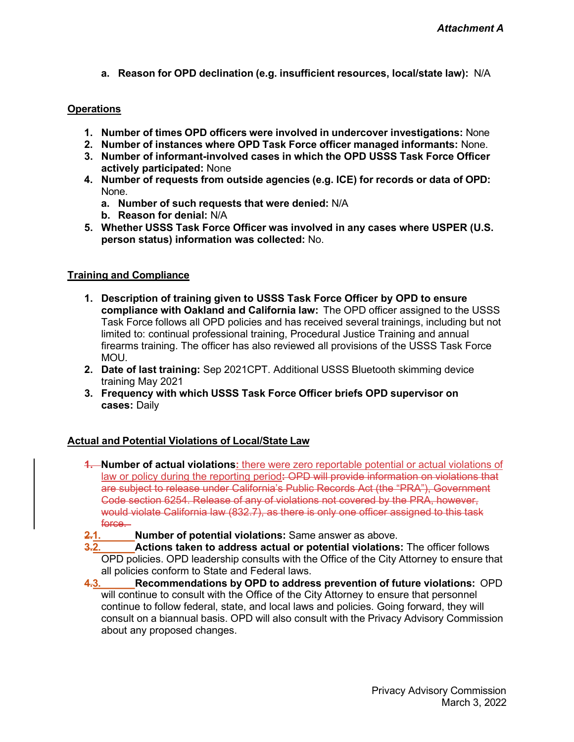**a. Reason for OPD declination (e.g. insufficient resources, local/state law):** N/A

#### **Operations**

- **1. Number of times OPD officers were involved in undercover investigations:** None
- **2. Number of instances where OPD Task Force officer managed informants:** None.
- **3. Number of informant-involved cases in which the OPD USSS Task Force Officer actively participated:** None
- **4. Number of requests from outside agencies (e.g. ICE) for records or data of OPD:** None.
	- **a. Number of such requests that were denied:** N/A
	- **b. Reason for denial:** N/A
- **5. Whether USSS Task Force Officer was involved in any cases where USPER (U.S. person status) information was collected:** No.

#### **Training and Compliance**

- **1. Description of training given to USSS Task Force Officer by OPD to ensure compliance with Oakland and California law:** The OPD officer assigned to the USSS Task Force follows all OPD policies and has received several trainings, including but not limited to: continual professional training, Procedural Justice Training and annual firearms training. The officer has also reviewed all provisions of the USSS Task Force MOU.
- **2. Date of last training:** Sep 2021CPT. Additional USSS Bluetooth skimming device training May 2021
- **3. Frequency with which USSS Task Force Officer briefs OPD supervisor on cases:** Daily

#### **Actual and Potential Violations of Local/State Law**

- **1. Number of actual violations:** there were zero reportable potential or actual violations of law or policy during the reporting period**:** OPD will provide information on violations that are subject to release under California's Public Records Act (the "PRA"), Government Code section 6254. Release of any of violations not covered by the PRA, however, would violate California law (832.7), as there is only one officer assigned to this task force —
- **2.1. Number of potential violations:** Same answer as above.
- **3.2. Actions taken to address actual or potential violations:** The officer follows OPD policies. OPD leadership consults with the Office of the City Attorney to ensure that all policies conform to State and Federal laws.
- **4.3. Recommendations by OPD to address prevention of future violations:** OPD will continue to consult with the Office of the City Attorney to ensure that personnel continue to follow federal, state, and local laws and policies. Going forward, they will consult on a biannual basis. OPD will also consult with the Privacy Advisory Commission about any proposed changes.